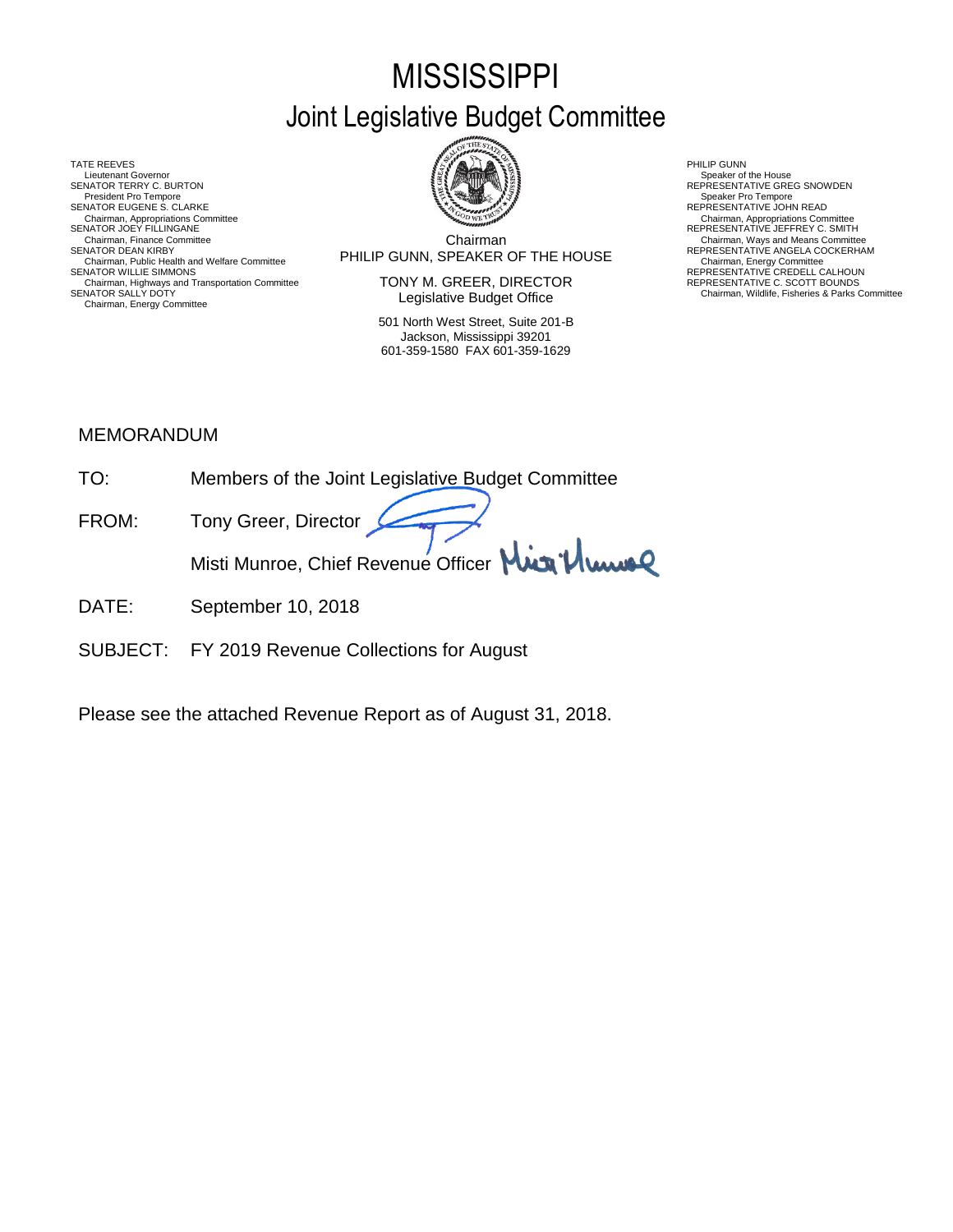# **MISSISSIPPI** Joint Legislative Budget Committee

TATE REEVES PHILIP GUNN AND RELATIONS OF RELATIONS OF RELATIONS OF RELATIONS OF RELATIONS OF RELATIONS OF RELATIONS OF RELATIONS OF RELATIONS OF RELATIONS OF RELATIONS OF RELATIONS OF RELATIONS OF RELATIONS OF RELATIONS O Lieutenant Governor<br>SENATOR TERRY C. BURTON President Pro Tempore SENATOR EUGENE S. CLARKE<br>Chairman, Appropriations Committee<br>SENATOR JOEY FILLINGANE Chairman, Appropriations Committee Chairman, Appropriations Committee<br>SENATOR JOEY FILLINGANE REPRESENTATIVE JEFFREY C. SMITH Chairman, Public Health and Welfare Committee FINLIP GUNN, SPEAKER OF THE HOUSE Chairman, Energy Committee<br>SENATOR WILLIE SIMMONS REPRESENTATIVE CREDELL CALHOUN<br>Chairman, Highways and Transportation Committee TONY M. GREER Chairman, Highways and Transportation Committee The Magnostyle of LONY M. GREER, DIRECTOR The Transportation C<br>SENATOR SALLY DOTY Transportation Committee The Committee The Chairman, Wildlife, Fisheries & Parks Committee Chairman, Energy Committee



Chairman SENATOR DEAN KIRBY (SENATOR DEAN KIRBY) SENATOR DEAN KEPRESENTATIVE ANGELA COCKERHAM<br>Chairman, Public Health and Welfare Committee **Committee Committee Committee** Committee Committee Committee Commit Chairman, Finance Committee **Chairman**<br>SENATOR DEAN KIRBY CHAIRM CHAIRM COMMITTEE CHAIRM COMMITTEE ON THE HOLLIST COMMITTEE REPRESENTATIVE ANGELA COCKERHAM

> TONY M. GREER, DIRECTOR Legislative Budget Office

501 North West Street, Suite 201-B Jackson, Mississippi 39201 601-359-1580 FAX 601-359-1629

Speaker of the House<br>REPRESENTATIVE GREG SNOWDEN<br>Speaker Pro Tempore

#### MEMORANDUM

- TO: Members of the Joint Legislative Budget Committee FROM: Tony Greer, Director Misti Munroe, Chief Revenue Officer Mun<sup>1</sup> Munic
- DATE: September 10, 2018
- SUBJECT: FY 2019 Revenue Collections for August

Please see the attached Revenue Report as of August 31, 2018.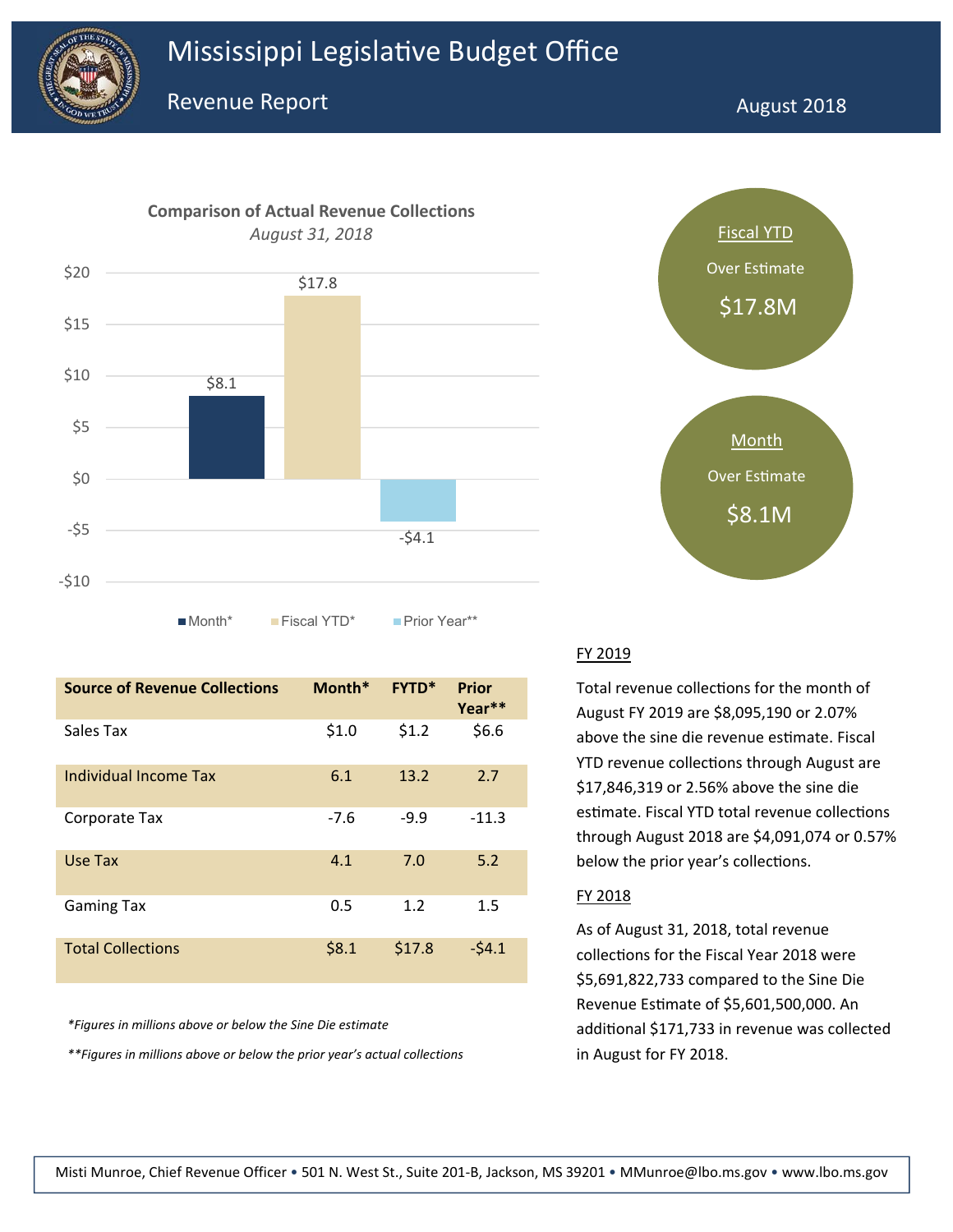



■Month\* Fiscal YTD\* Prior Year\*\*

| <b>Source of Revenue Collections</b> | Month* | <b>FYTD*</b> | <b>Prior</b><br>Year** |
|--------------------------------------|--------|--------------|------------------------|
| Sales Tax                            | \$1.0  | \$1.2        | \$6.6                  |
| Individual Income Tax                | 6.1    | 13.2         | 2.7                    |
| Corporate Tax                        | $-7.6$ | $-9.9$       | $-11.3$                |
| Use Tax                              | 4.1    | 7.0          | 5.2                    |
| <b>Gaming Tax</b>                    | 0.5    | 1.2          | 1.5                    |
| <b>Total Collections</b>             | \$8.1  | \$17.8       | $-54.1$                |

*\*Figures in millions above or below the Sine Die estimate*

*\*\*Figures in millions above or below the prior year's actual collections* in August for FY 2018.



#### FY 2019

Total revenue collections for the month of August FY 2019 are \$8,095,190 or 2.07% above the sine die revenue estimate. Fiscal YTD revenue collections through August are \$17,846,319 or 2.56% above the sine die estimate. Fiscal YTD total revenue collections through August 2018 are \$4,091,074 or 0.57% below the prior year's collections.

#### FY 2018

As of August 31, 2018, total revenue collections for the Fiscal Year 2018 were \$5,691,822,733 compared to the Sine Die Revenue Estimate of \$5,601,500,000. An additional \$171,733 in revenue was collected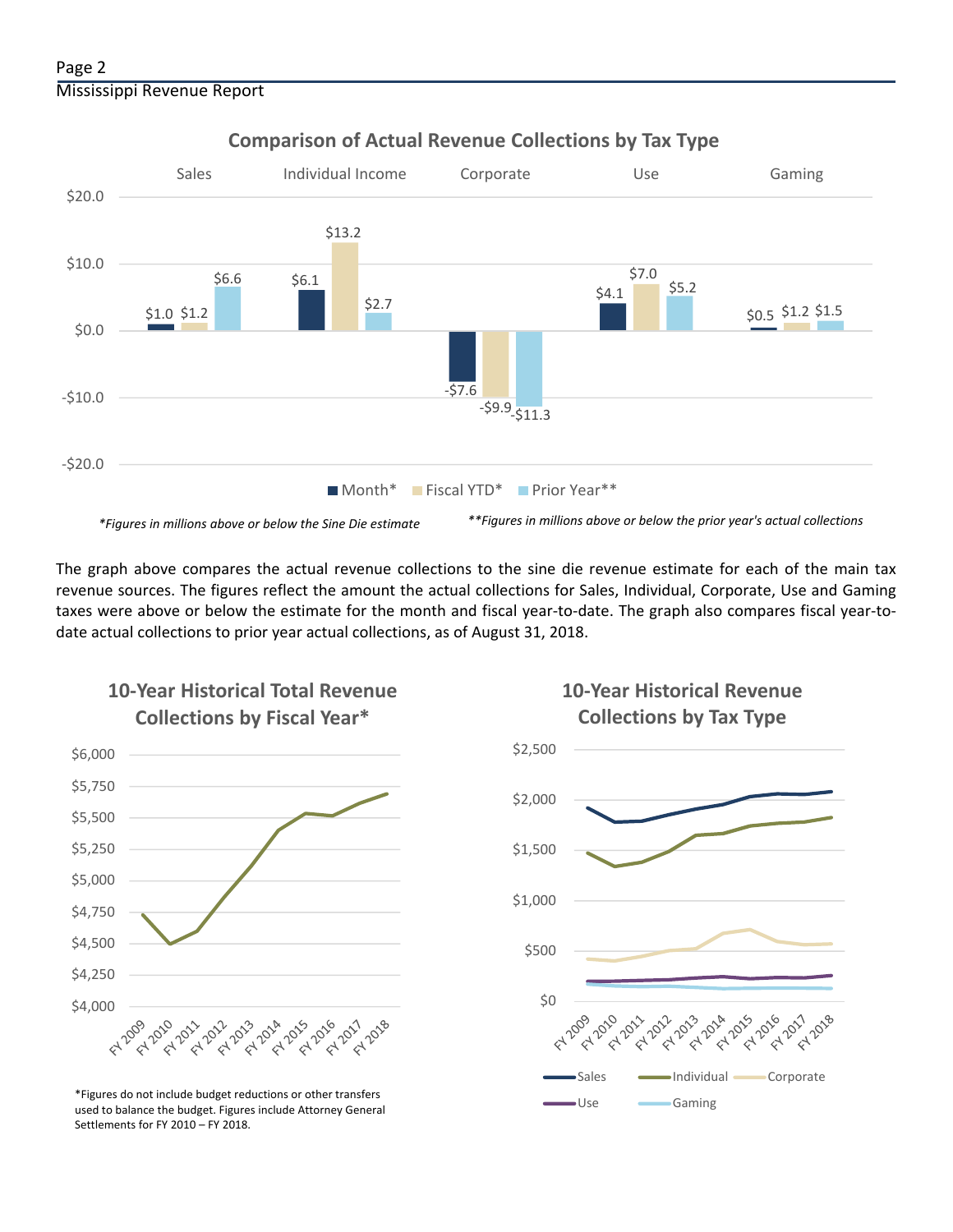

**Comparison of Actual Revenue Collections by Tax Type**

The graph above compares the actual revenue collections to the sine die revenue estimate for each of the main tax revenue sources. The figures reflect the amount the actual collections for Sales, Individual, Corporate, Use and Gaming taxes were above or below the estimate for the month and fiscal year‐to‐date. The graph also compares fiscal year‐to‐ date actual collections to prior year actual collections, as of August 31, 2018.



**10‐Year Historical Total Revenue** 

Use Gaming \*Figures do not include budget reductions or other transfers used to balance the budget. Figures include Attorney General Settlements for FY 2010 – FY 2018.

### **10‐Year Historical Revenue Collections by Tax Type**

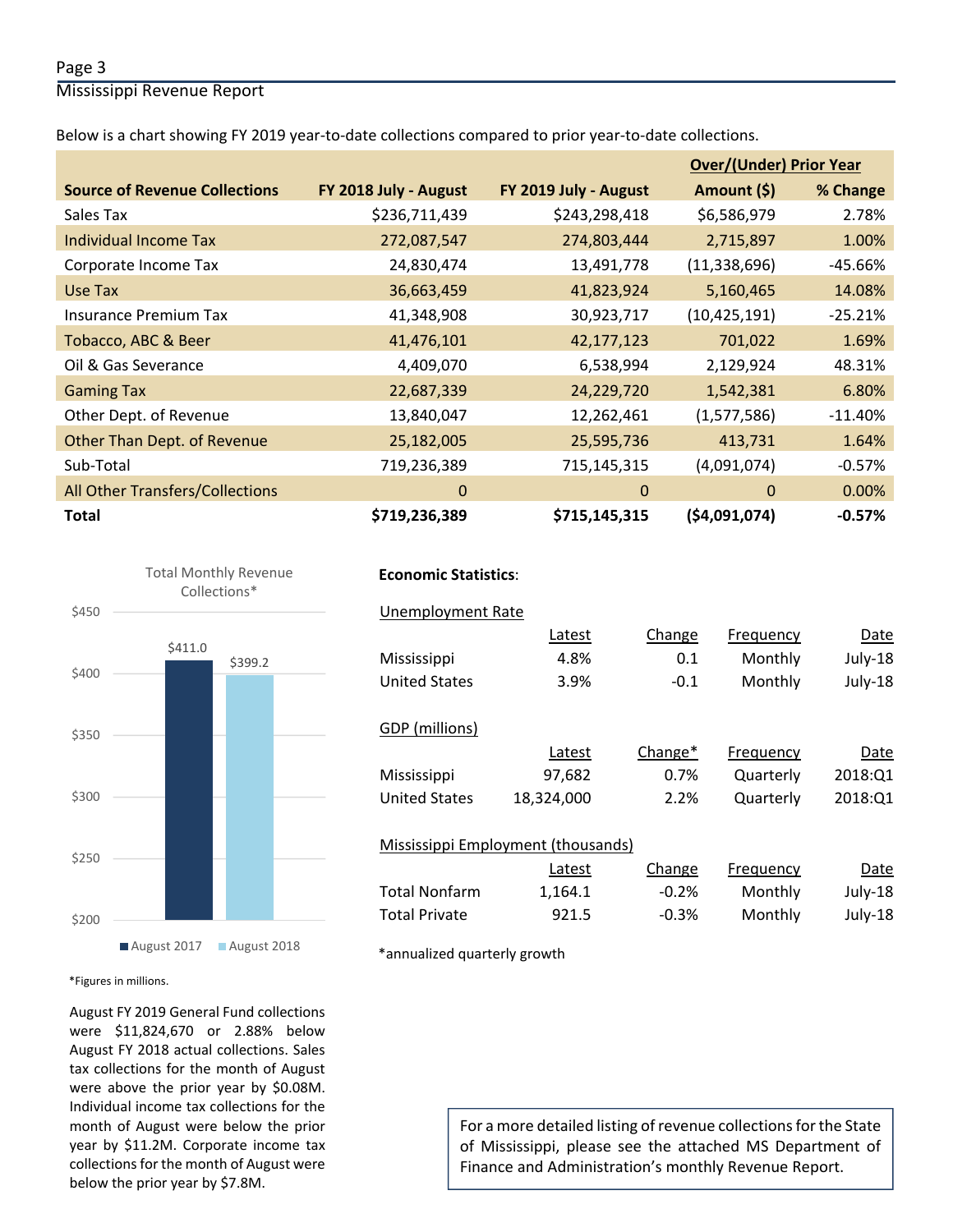#### Page 3

Mississippi Revenue Report

Below is a chart showing FY 2019 year‐to‐date collections compared to prior year‐to‐date collections.

|                                      |                       |                       | <b>Over/(Under) Prior Year</b> |           |  |
|--------------------------------------|-----------------------|-----------------------|--------------------------------|-----------|--|
| <b>Source of Revenue Collections</b> | FY 2018 July - August | FY 2019 July - August | Amount (\$)                    | % Change  |  |
| Sales Tax                            | \$236,711,439         | \$243,298,418         | \$6,586,979                    | 2.78%     |  |
| <b>Individual Income Tax</b>         | 272,087,547           | 274,803,444           | 2,715,897                      | 1.00%     |  |
| Corporate Income Tax                 | 24,830,474            | 13,491,778            | (11, 338, 696)                 | -45.66%   |  |
| Use Tax                              | 36,663,459            | 41,823,924            | 5,160,465                      | 14.08%    |  |
| <b>Insurance Premium Tax</b>         | 41,348,908            | 30,923,717            | (10, 425, 191)                 | $-25.21%$ |  |
| Tobacco, ABC & Beer                  | 41,476,101            | 42,177,123            | 701,022                        | 1.69%     |  |
| Oil & Gas Severance                  | 4,409,070             | 6,538,994             | 2,129,924                      | 48.31%    |  |
| <b>Gaming Tax</b>                    | 22,687,339            | 24,229,720            | 1,542,381                      | 6.80%     |  |
| Other Dept. of Revenue               | 13,840,047            | 12,262,461            | (1,577,586)                    | $-11.40%$ |  |
| Other Than Dept. of Revenue          | 25,182,005            | 25,595,736            | 413,731                        | 1.64%     |  |
| Sub-Total                            | 719,236,389           | 715,145,315           | (4,091,074)                    | $-0.57%$  |  |
| All Other Transfers/Collections      | $\mathbf 0$           | $\Omega$              | $\Omega$                       | $0.00\%$  |  |
| <b>Total</b>                         | \$719,236,389         | \$715,145,315         | (54,091,074)                   | $-0.57%$  |  |



#### **Economic Statistics**:

| Unemployment Rate                  |            |         |           |         |
|------------------------------------|------------|---------|-----------|---------|
|                                    | Latest     | Change  | Frequency | Date    |
| Mississippi                        | 4.8%       | 0.1     | Monthly   | July-18 |
| <b>United States</b>               | 3.9%       | $-0.1$  | Monthly   | July-18 |
|                                    |            |         |           |         |
| GDP (millions)                     |            |         |           |         |
|                                    | Latest     | Change* | Frequency | Date    |
| Mississippi                        | 97,682     | 0.7%    | Quarterly | 2018:Q1 |
| <b>United States</b>               | 18.324.000 | 2.2%    | Quarterly | 2018:01 |
|                                    |            |         |           |         |
| Mississippi Employment (thousands) |            |         |           |         |
|                                    | Latest     | Change  | Frequency | Date    |
| <b>Total Nonfarm</b>               | 1.164.1    | $-0.2%$ | Monthly   | July-18 |

Total Private 921.5 ‐0.3% Monthly July‐18

\*annualized quarterly growth

\*Figures in millions.

August FY 2019 General Fund collections were \$11,824,670 or 2.88% below August FY 2018 actual collections. Sales tax collections for the month of August were above the prior year by \$0.08M. Individual income tax collections for the month of August were below the prior year by \$11.2M. Corporate income tax collections for the month of August were below the prior year by \$7.8M.

For a more detailed listing of revenue collections for the State of Mississippi, please see the attached MS Department of Finance and Administration's monthly Revenue Report.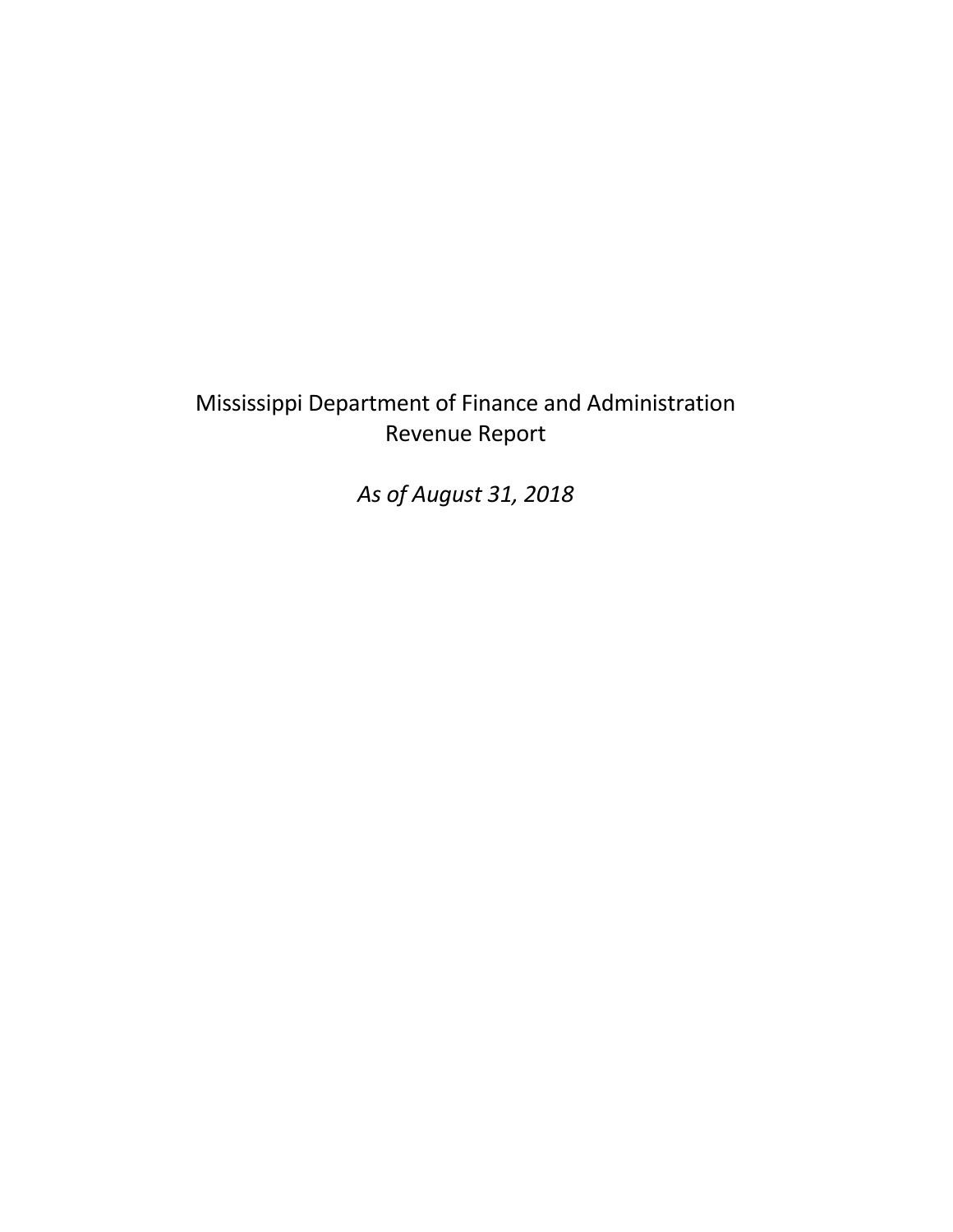## Mississippi Department of Finance and Administration Revenue Report

*As of August 31, 2018*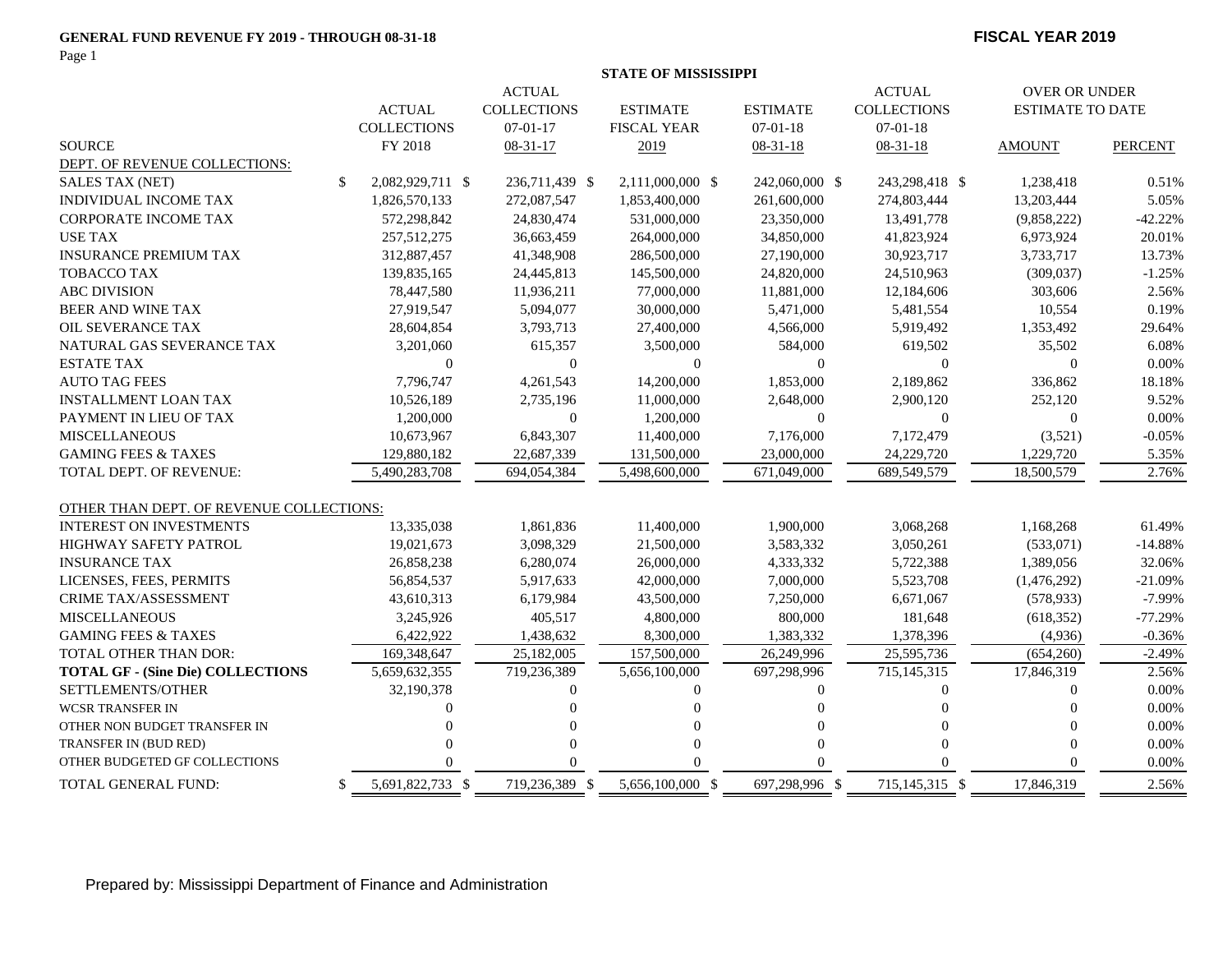#### **GENERAL FUND REVENUE FY 2019 - THROUGH 08-31-18**

Page 1

#### **FISCAL YEAR 2019**

|                                          | <b>STATE OF MISSISSIPPI</b> |                    |  |                    |                    |  |                  |                    |                      |                         |                |
|------------------------------------------|-----------------------------|--------------------|--|--------------------|--------------------|--|------------------|--------------------|----------------------|-------------------------|----------------|
|                                          | <b>ACTUAL</b>               |                    |  |                    |                    |  | <b>ACTUAL</b>    |                    | <b>OVER OR UNDER</b> |                         |                |
|                                          |                             | <b>ACTUAL</b>      |  | <b>COLLECTIONS</b> | <b>ESTIMATE</b>    |  | <b>ESTIMATE</b>  | <b>COLLECTIONS</b> |                      | <b>ESTIMATE TO DATE</b> |                |
|                                          |                             | <b>COLLECTIONS</b> |  | $07-01-17$         | <b>FISCAL YEAR</b> |  | $07-01-18$       | $07 - 01 - 18$     |                      |                         |                |
| <b>SOURCE</b>                            |                             | FY 2018            |  | $08-31-17$         | 2019               |  | $08-31-18$       | $08-31-18$         |                      | <b>AMOUNT</b>           | <b>PERCENT</b> |
| DEPT. OF REVENUE COLLECTIONS:            |                             |                    |  |                    |                    |  |                  |                    |                      |                         |                |
| <b>SALES TAX (NET)</b>                   | \$                          | 2,082,929,711 \$   |  | 236,711,439 \$     | 2,111,000,000 \$   |  | 242,060,000 \$   | 243,298,418 \$     |                      | 1,238,418               | 0.51%          |
| INDIVIDUAL INCOME TAX                    |                             | 1,826,570,133      |  | 272,087,547        | 1,853,400,000      |  | 261,600,000      | 274,803,444        |                      | 13,203,444              | 5.05%          |
| <b>CORPORATE INCOME TAX</b>              |                             | 572,298,842        |  | 24,830,474         | 531,000,000        |  | 23,350,000       | 13,491,778         |                      | (9,858,222)             | $-42.22%$      |
| USE TAX                                  |                             | 257,512,275        |  | 36,663,459         | 264,000,000        |  | 34,850,000       | 41,823,924         |                      | 6,973,924               | 20.01%         |
| <b>INSURANCE PREMIUM TAX</b>             |                             | 312,887,457        |  | 41,348,908         | 286,500,000        |  | 27,190,000       | 30,923,717         |                      | 3,733,717               | 13.73%         |
| <b>TOBACCO TAX</b>                       |                             | 139,835,165        |  | 24,445,813         | 145,500,000        |  | 24,820,000       | 24,510,963         |                      | (309, 037)              | $-1.25%$       |
| <b>ABC DIVISION</b>                      |                             | 78,447,580         |  | 11,936,211         | 77,000,000         |  | 11,881,000       | 12,184,606         |                      | 303,606                 | 2.56%          |
| <b>BEER AND WINE TAX</b>                 |                             | 27,919,547         |  | 5,094,077          | 30,000,000         |  | 5,471,000        | 5,481,554          |                      | 10,554                  | 0.19%          |
| <b>OIL SEVERANCE TAX</b>                 |                             | 28,604,854         |  | 3,793,713          | 27,400,000         |  | 4,566,000        | 5,919,492          |                      | 1,353,492               | 29.64%         |
| NATURAL GAS SEVERANCE TAX                |                             | 3,201,060          |  | 615,357            | 3,500,000          |  | 584,000          | 619,502            |                      | 35,502                  | 6.08%          |
| <b>ESTATE TAX</b>                        |                             | $\mathbf{0}$       |  | $\mathbf{0}$       | $\theta$           |  | $\overline{0}$   | $\Omega$           |                      | $\overline{0}$          | 0.00%          |
| <b>AUTO TAG FEES</b>                     |                             | 7,796,747          |  | 4,261,543          | 14,200,000         |  | 1,853,000        | 2,189,862          |                      | 336,862                 | 18.18%         |
| <b>INSTALLMENT LOAN TAX</b>              |                             | 10,526,189         |  | 2,735,196          | 11,000,000         |  | 2,648,000        | 2,900,120          |                      | 252,120                 | 9.52%          |
| PAYMENT IN LIEU OF TAX                   |                             | 1,200,000          |  | $\boldsymbol{0}$   | 1,200,000          |  | $\overline{0}$   | $\theta$           |                      | $\overline{0}$          | 0.00%          |
| <b>MISCELLANEOUS</b>                     |                             | 10,673,967         |  | 6,843,307          | 11,400,000         |  | 7,176,000        | 7,172,479          |                      | (3,521)                 | $-0.05%$       |
| <b>GAMING FEES &amp; TAXES</b>           |                             | 129,880,182        |  | 22,687,339         | 131,500,000        |  | 23,000,000       | 24,229,720         |                      | 1,229,720               | 5.35%          |
| TOTAL DEPT. OF REVENUE:                  |                             | 5,490,283,708      |  | 694,054,384        | 5,498,600,000      |  | 671,049,000      | 689,549,579        |                      | 18,500,579              | 2.76%          |
|                                          |                             |                    |  |                    |                    |  |                  |                    |                      |                         |                |
| OTHER THAN DEPT. OF REVENUE COLLECTIONS: |                             |                    |  |                    |                    |  |                  |                    |                      |                         |                |
| <b>INTEREST ON INVESTMENTS</b>           |                             | 13,335,038         |  | 1,861,836          | 11,400,000         |  | 1,900,000        | 3,068,268          |                      | 1,168,268               | 61.49%         |
| <b>HIGHWAY SAFETY PATROL</b>             |                             | 19,021,673         |  | 3,098,329          | 21,500,000         |  | 3,583,332        | 3,050,261          |                      | (533,071)               | $-14.88%$      |
| <b>INSURANCE TAX</b>                     |                             | 26,858,238         |  | 6,280,074          | 26,000,000         |  | 4,333,332        | 5,722,388          |                      | 1,389,056               | 32.06%         |
| LICENSES, FEES, PERMITS                  |                             | 56,854,537         |  | 5,917,633          | 42,000,000         |  | 7,000,000        | 5,523,708          |                      | (1,476,292)             | $-21.09%$      |
| CRIME TAX/ASSESSMENT                     |                             | 43,610,313         |  | 6,179,984          | 43,500,000         |  | 7,250,000        | 6,671,067          |                      | (578, 933)              | $-7.99%$       |
| <b>MISCELLANEOUS</b>                     |                             | 3,245,926          |  | 405,517            | 4,800,000          |  | 800,000          | 181,648            |                      | (618, 352)              | $-77.29%$      |
| <b>GAMING FEES &amp; TAXES</b>           |                             | 6,422,922          |  | 1,438,632          | 8,300,000          |  | 1,383,332        | 1,378,396          |                      | (4,936)                 | $-0.36%$       |
| TOTAL OTHER THAN DOR:                    |                             | 169,348,647        |  | 25,182,005         | 157,500,000        |  | 26,249,996       | 25,595,736         |                      | (654,260)               | $-2.49%$       |
| <b>TOTAL GF - (Sine Die) COLLECTIONS</b> |                             | 5,659,632,355      |  | 719,236,389        | 5,656,100,000      |  | 697,298,996      | 715, 145, 315      |                      | 17,846,319              | 2.56%          |
| SETTLEMENTS/OTHER                        |                             | 32,190,378         |  | $\theta$           | $\Omega$           |  | $\boldsymbol{0}$ | $\Omega$           |                      | $\Omega$                | 0.00%          |
| <b>WCSR TRANSFER IN</b>                  |                             | $\Omega$           |  | $\Omega$           | $\Omega$           |  | $\Omega$         | $\Omega$           |                      | $\Omega$                | 0.00%          |
| OTHER NON BUDGET TRANSFER IN             |                             | $\Omega$           |  | $\Omega$           |                    |  | $\Omega$         | $\Omega$           |                      | $\Omega$                | 0.00%          |
| TRANSFER IN (BUD RED)                    |                             | $\Omega$           |  | $\overline{0}$     |                    |  | $\Omega$         | $\Omega$           |                      | $\mathbf{0}$            | 0.00%          |
| OTHER BUDGETED GF COLLECTIONS            |                             | $\Omega$           |  | $\Omega$           | O                  |  | $\Omega$         | $\Omega$           |                      | $\Omega$                | 0.00%          |
| TOTAL GENERAL FUND:                      | \$                          | 5,691,822,733 \$   |  | 719,236,389 \$     | 5,656,100,000 \$   |  | 697,298,996 \$   | 715,145,315 \$     |                      | 17,846,319              | 2.56%          |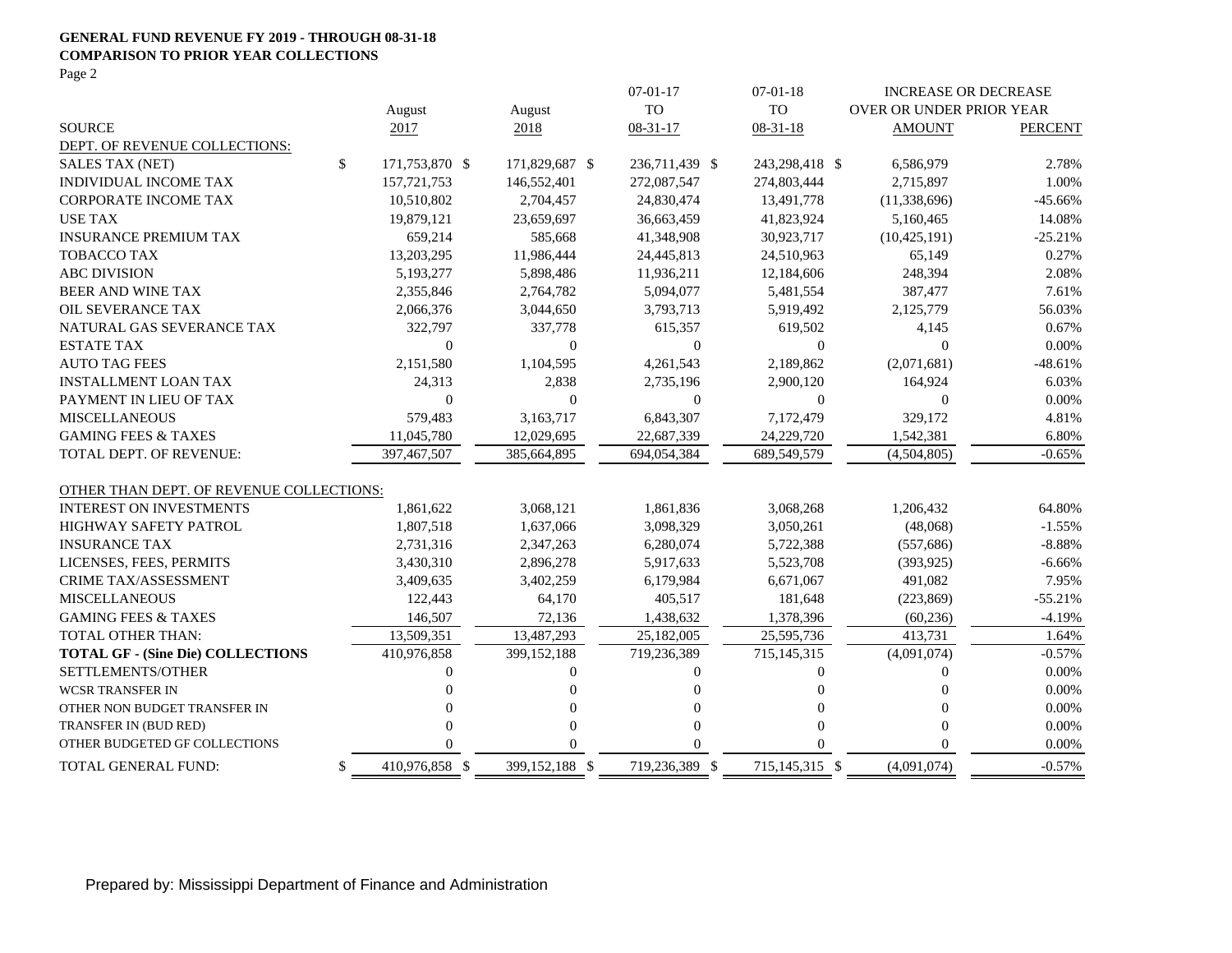#### **GENERAL FUND REVENUE FY 2019 - THROUGH 08-31-18 COMPARISON TO PRIOR YEAR COLLECTIONS**

Page 2

|                                          |                      |                  | $07-01-17$       | $07-01-18$       |                          | <b>INCREASE OR DECREASE</b> |
|------------------------------------------|----------------------|------------------|------------------|------------------|--------------------------|-----------------------------|
|                                          | August               | August           | <b>TO</b>        | <b>TO</b>        | OVER OR UNDER PRIOR YEAR |                             |
| <b>SOURCE</b>                            | 2017                 | 2018             | 08-31-17         | $08 - 31 - 18$   | <b>AMOUNT</b>            | <b>PERCENT</b>              |
| DEPT. OF REVENUE COLLECTIONS:            |                      |                  |                  |                  |                          |                             |
| <b>SALES TAX (NET)</b>                   | \$<br>171,753,870 \$ | 171,829,687 \$   | 236,711,439 \$   | 243,298,418 \$   | 6,586,979                | 2.78%                       |
| INDIVIDUAL INCOME TAX                    | 157, 721, 753        | 146,552,401      | 272,087,547      | 274,803,444      | 2,715,897                | 1.00%                       |
| <b>CORPORATE INCOME TAX</b>              | 10,510,802           | 2,704,457        | 24,830,474       | 13,491,778       | (11, 338, 696)           | $-45.66%$                   |
| <b>USE TAX</b>                           | 19,879,121           | 23,659,697       | 36,663,459       | 41,823,924       | 5,160,465                | 14.08%                      |
| <b>INSURANCE PREMIUM TAX</b>             | 659,214              | 585,668          | 41,348,908       | 30,923,717       | (10, 425, 191)           | $-25.21%$                   |
| <b>TOBACCO TAX</b>                       | 13,203,295           | 11,986,444       | 24,445,813       | 24,510,963       | 65,149                   | 0.27%                       |
| <b>ABC DIVISION</b>                      | 5,193,277            | 5,898,486        | 11,936,211       | 12,184,606       | 248,394                  | 2.08%                       |
| <b>BEER AND WINE TAX</b>                 | 2,355,846            | 2,764,782        | 5,094,077        | 5,481,554        | 387,477                  | 7.61%                       |
| <b>OIL SEVERANCE TAX</b>                 | 2,066,376            | 3,044,650        | 3,793,713        | 5,919,492        | 2,125,779                | 56.03%                      |
| NATURAL GAS SEVERANCE TAX                | 322,797              | 337,778          | 615,357          | 619,502          | 4,145                    | 0.67%                       |
| <b>ESTATE TAX</b>                        | $\boldsymbol{0}$     | $\boldsymbol{0}$ | $\boldsymbol{0}$ | $\mathbf{0}$     | $\overline{0}$           | 0.00%                       |
| <b>AUTO TAG FEES</b>                     | 2,151,580            | 1,104,595        | 4,261,543        | 2,189,862        | (2,071,681)              | $-48.61%$                   |
| <b>INSTALLMENT LOAN TAX</b>              | 24,313               | 2,838            | 2,735,196        | 2,900,120        | 164,924                  | 6.03%                       |
| PAYMENT IN LIEU OF TAX                   | $\Omega$             | $\mathbf{0}$     | $\boldsymbol{0}$ | $\theta$         | $\overline{0}$           | 0.00%                       |
| <b>MISCELLANEOUS</b>                     | 579,483              | 3,163,717        | 6,843,307        | 7,172,479        | 329,172                  | 4.81%                       |
| <b>GAMING FEES &amp; TAXES</b>           | 11,045,780           | 12,029,695       | 22,687,339       | 24,229,720       | 1,542,381                | 6.80%                       |
| TOTAL DEPT. OF REVENUE:                  | 397.467.507          | 385,664,895      | 694.054.384      | 689.549.579      | (4,504,805)              | $-0.65%$                    |
| OTHER THAN DEPT. OF REVENUE COLLECTIONS: |                      |                  |                  |                  |                          |                             |
| <b>INTEREST ON INVESTMENTS</b>           | 1,861,622            | 3,068,121        | 1,861,836        | 3,068,268        | 1,206,432                | 64.80%                      |
| <b>HIGHWAY SAFETY PATROL</b>             | 1,807,518            | 1,637,066        | 3,098,329        | 3,050,261        | (48,068)                 | $-1.55%$                    |
| <b>INSURANCE TAX</b>                     | 2,731,316            | 2,347,263        | 6,280,074        | 5,722,388        | (557,686)                | $-8.88%$                    |
| LICENSES, FEES, PERMITS                  | 3,430,310            | 2,896,278        | 5,917,633        | 5,523,708        | (393, 925)               | $-6.66\%$                   |
| <b>CRIME TAX/ASSESSMENT</b>              | 3,409,635            | 3,402,259        | 6,179,984        | 6,671,067        | 491,082                  | 7.95%                       |
| <b>MISCELLANEOUS</b>                     | 122,443              | 64,170           | 405,517          | 181,648          | (223, 869)               | $-55.21%$                   |
| <b>GAMING FEES &amp; TAXES</b>           | 146,507              | 72,136           | 1,438,632        | 1,378,396        | (60, 236)                | $-4.19%$                    |
| <b>TOTAL OTHER THAN:</b>                 | 13,509,351           | 13,487,293       | 25,182,005       | 25,595,736       | 413,731                  | 1.64%                       |
| <b>TOTAL GF - (Sine Die) COLLECTIONS</b> | 410,976,858          | 399,152,188      | 719,236,389      | 715, 145, 315    | (4,091,074)              | $-0.57%$                    |
| SETTLEMENTS/OTHER                        | 0                    | $\Omega$         | 0                | $\Omega$         | $\Omega$                 | 0.00%                       |
| <b>WCSR TRANSFER IN</b>                  | 0                    | $\Omega$         |                  | 0                | $\Omega$                 | 0.00%                       |
| OTHER NON BUDGET TRANSFER IN             | 0                    | 0                |                  | 0                | $\Omega$                 | 0.00%                       |
| TRANSFER IN (BUD RED)                    | 0                    | $\Omega$         | O                | $\Omega$         | $\Omega$                 | 0.00%                       |
| OTHER BUDGETED GF COLLECTIONS            | 0                    | $\Omega$         | O                | $\Omega$         | $\Omega$                 | 0.00%                       |
| TOTAL GENERAL FUND:                      | \$<br>410,976,858 \$ | 399,152,188 \$   | 719,236,389 \$   | 715, 145, 315 \$ | (4,091,074)              | $-0.57%$                    |